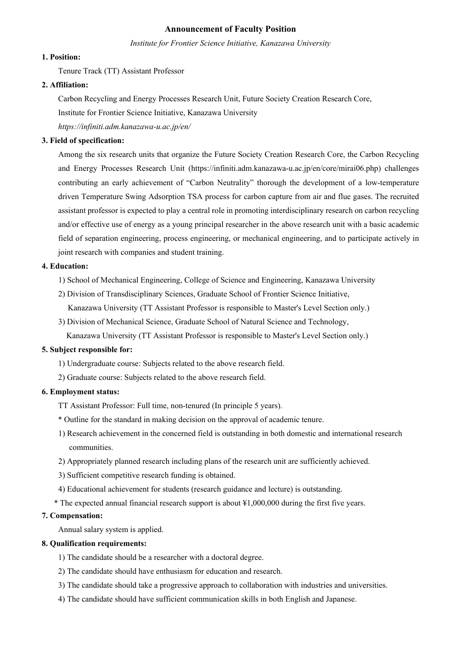### **Announcement of Faculty Position**

*Institute for Frontier Science Initiative, Kanazawa University*

### **1. Position:**

Tenure Track (TT) Assistant Professor

#### **2. Affiliation:**

Carbon Recycling and Energy Processes Research Unit, Future Society Creation Research Core,

Institute for Frontier Science Initiative, Kanazawa University

*https://infiniti.adm.kanazawa-u.ac.jp/en/* 

#### **3. Field of specification:**

Among the six research units that organize the Future Society Creation Research Core, the Carbon Recycling and Energy Processes Research Unit (https://infiniti.adm.kanazawa-u.ac.jp/en/core/mirai06.php) challenges contributing an early achievement of "Carbon Neutrality" thorough the development of a low-temperature driven Temperature Swing Adsorption TSA process for carbon capture from air and flue gases. The recruited assistant professor is expected to play a central role in promoting interdisciplinary research on carbon recycling and/or effective use of energy as a young principal researcher in the above research unit with a basic academic field of separation engineering, process engineering, or mechanical engineering, and to participate actively in joint research with companies and student training.

#### **4. Education:**

- 1) School of Mechanical Engineering, College of Science and Engineering, Kanazawa University
- 2) Division of Transdisciplinary Sciences, Graduate School of Frontier Science Initiative,
- Kanazawa University (TT Assistant Professor is responsible to Master's Level Section only.)
- 3) Division of Mechanical Science, Graduate School of Natural Science and Technology,
	- Kanazawa University (TT Assistant Professor is responsible to Master's Level Section only.)

#### **5. Subject responsible for:**

- 1) Undergraduate course: Subjects related to the above research field.
- 2) Graduate course: Subjects related to the above research field.

#### **6. Employment status:**

- TT Assistant Professor: Full time, non-tenured (In principle 5 years).
- \* Outline for the standard in making decision on the approval of academic tenure.
- 1) Research achievement in the concerned field is outstanding in both domestic and international research communities.
- 2) Appropriately planned research including plans of the research unit are sufficiently achieved.
- 3) Sufficient competitive research funding is obtained.
- 4) Educational achievement for students (research guidance and lecture) is outstanding.
- \* The expected annual financial research support is about ¥1,000,000 during the first five years.

#### **7. Compensation:**

Annual salary system is applied.

#### **8. Qualification requirements:**

- 1) The candidate should be a researcher with a doctoral degree.
- 2) The candidate should have enthusiasm for education and research.
- 3) The candidate should take a progressive approach to collaboration with industries and universities.
- 4) The candidate should have sufficient communication skills in both English and Japanese.